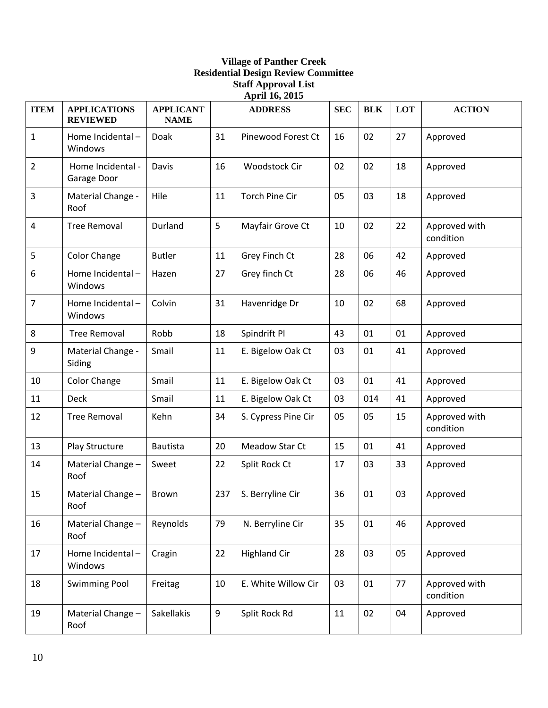## **Village of Panther Creek Residential Design Review Committee Staff Approval List April 16, 2015**

| <b>ITEM</b>    | <b>APPLICATIONS</b><br><b>REVIEWED</b> | <b>APPLICANT</b><br><b>NAME</b> |     | $\cdots$ $\cdots$<br><b>ADDRESS</b> | <b>SEC</b> | <b>BLK</b> | LOT | <b>ACTION</b>              |
|----------------|----------------------------------------|---------------------------------|-----|-------------------------------------|------------|------------|-----|----------------------------|
| $\mathbf{1}$   | Home Incidental-<br>Windows            | Doak                            | 31  | Pinewood Forest Ct                  | 16         | 02         | 27  | Approved                   |
| $\overline{2}$ | Home Incidental -<br>Garage Door       | Davis                           | 16  | Woodstock Cir                       | 02         | 02         | 18  | Approved                   |
| 3              | Material Change -<br>Roof              | Hile                            | 11  | <b>Torch Pine Cir</b>               | 05         | 03         | 18  | Approved                   |
| 4              | <b>Tree Removal</b>                    | Durland                         | 5   | Mayfair Grove Ct                    | 10         | 02         | 22  | Approved with<br>condition |
| 5              | <b>Color Change</b>                    | <b>Butler</b>                   | 11  | Grey Finch Ct                       | 28         | 06         | 42  | Approved                   |
| 6              | Home Incidental-<br>Windows            | Hazen                           | 27  | Grey finch Ct                       | 28         | 06         | 46  | Approved                   |
| 7              | Home Incidental-<br>Windows            | Colvin                          | 31  | Havenridge Dr                       | 10         | 02         | 68  | Approved                   |
| 8              | <b>Tree Removal</b>                    | Robb                            | 18  | Spindrift Pl                        | 43         | 01         | 01  | Approved                   |
| 9              | Material Change -<br>Siding            | Smail                           | 11  | E. Bigelow Oak Ct                   | 03         | 01         | 41  | Approved                   |
| 10             | Color Change                           | Smail                           | 11  | E. Bigelow Oak Ct                   | 03         | 01         | 41  | Approved                   |
| 11             | <b>Deck</b>                            | Smail                           | 11  | E. Bigelow Oak Ct                   | 03         | 014        | 41  | Approved                   |
| 12             | <b>Tree Removal</b>                    | Kehn                            | 34  | S. Cypress Pine Cir                 | 05         | 05         | 15  | Approved with<br>condition |
| 13             | Play Structure                         | <b>Bautista</b>                 | 20  | Meadow Star Ct                      | 15         | 01         | 41  | Approved                   |
| 14             | Material Change -<br>Roof              | Sweet                           | 22  | Split Rock Ct                       | 17         | 03         | 33  | Approved                   |
| 15             | Material Change -<br>Roof              | Brown                           | 237 | S. Berryline Cir                    | 36         | 01         | 03  | Approved                   |
| 16             | Material Change -<br>Roof              | Reynolds                        | 79  | N. Berryline Cir                    | 35         | 01         | 46  | Approved                   |
| 17             | Home Incidental-<br>Windows            | Cragin                          | 22  | <b>Highland Cir</b>                 | 28         | 03         | 05  | Approved                   |
| 18             | <b>Swimming Pool</b>                   | Freitag                         | 10  | E. White Willow Cir                 | 03         | 01         | 77  | Approved with<br>condition |
| 19             | Material Change -<br>Roof              | Sakellakis                      | 9   | Split Rock Rd                       | 11         | 02         | 04  | Approved                   |